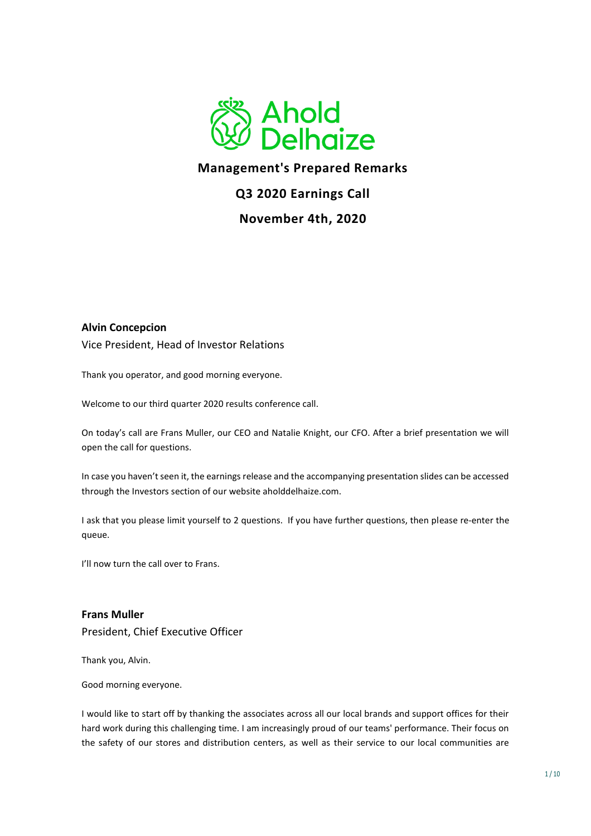

## **Management's Prepared Remarks**

## **Q3 2020 Earnings Call**

## **November 4th, 2020**

#### **Alvin Concepcion**

Vice President, Head of Investor Relations

Thank you operator, and good morning everyone.

Welcome to our third quarter 2020 results conference call.

On today's call are Frans Muller, our CEO and Natalie Knight, our CFO. After a brief presentation we will open the call for questions.

In case you haven't seen it, the earnings release and the accompanying presentation slides can be accessed through the Investors section of our website aholddelhaize.com.

I ask that you please limit yourself to 2 questions. If you have further questions, then please re-enter the queue.

I'll now turn the call over to Frans.

**Frans Muller**  President, Chief Executive Officer

Thank you, Alvin.

Good morning everyone.

I would like to start off by thanking the associates across all our local brands and support offices for their hard work during this challenging time. I am increasingly proud of our teams' performance. Their focus on the safety of our stores and distribution centers, as well as their service to our local communities are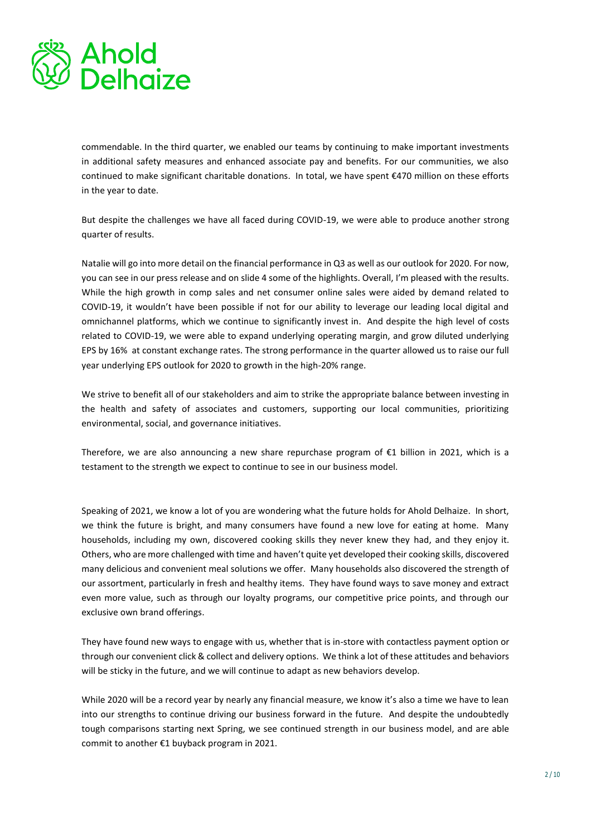

commendable. In the third quarter, we enabled our teams by continuing to make important investments in additional safety measures and enhanced associate pay and benefits. For our communities, we also continued to make significant charitable donations. In total, we have spent €470 million on these efforts in the year to date.

But despite the challenges we have all faced during COVID-19, we were able to produce another strong quarter of results.

Natalie will go into more detail on the financial performance in Q3 as well as our outlook for 2020. For now, you can see in our press release and on slide 4 some of the highlights. Overall, I'm pleased with the results. While the high growth in comp sales and net consumer online sales were aided by demand related to COVID-19, it wouldn't have been possible if not for our ability to leverage our leading local digital and omnichannel platforms, which we continue to significantly invest in. And despite the high level of costs related to COVID-19, we were able to expand underlying operating margin, and grow diluted underlying EPS by 16% at constant exchange rates. The strong performance in the quarter allowed us to raise our full year underlying EPS outlook for 2020 to growth in the high-20% range.

We strive to benefit all of our stakeholders and aim to strike the appropriate balance between investing in the health and safety of associates and customers, supporting our local communities, prioritizing environmental, social, and governance initiatives.

Therefore, we are also announcing a new share repurchase program of €1 billion in 2021, which is a testament to the strength we expect to continue to see in our business model.

Speaking of 2021, we know a lot of you are wondering what the future holds for Ahold Delhaize. In short, we think the future is bright, and many consumers have found a new love for eating at home. Many households, including my own, discovered cooking skills they never knew they had, and they enjoy it. Others, who are more challenged with time and haven't quite yet developed their cooking skills, discovered many delicious and convenient meal solutions we offer. Many households also discovered the strength of our assortment, particularly in fresh and healthy items. They have found ways to save money and extract even more value, such as through our loyalty programs, our competitive price points, and through our exclusive own brand offerings.

They have found new ways to engage with us, whether that is in-store with contactless payment option or through our convenient click & collect and delivery options. We think a lot of these attitudes and behaviors will be sticky in the future, and we will continue to adapt as new behaviors develop.

While 2020 will be a record year by nearly any financial measure, we know it's also a time we have to lean into our strengths to continue driving our business forward in the future. And despite the undoubtedly tough comparisons starting next Spring, we see continued strength in our business model, and are able commit to another €1 buyback program in 2021.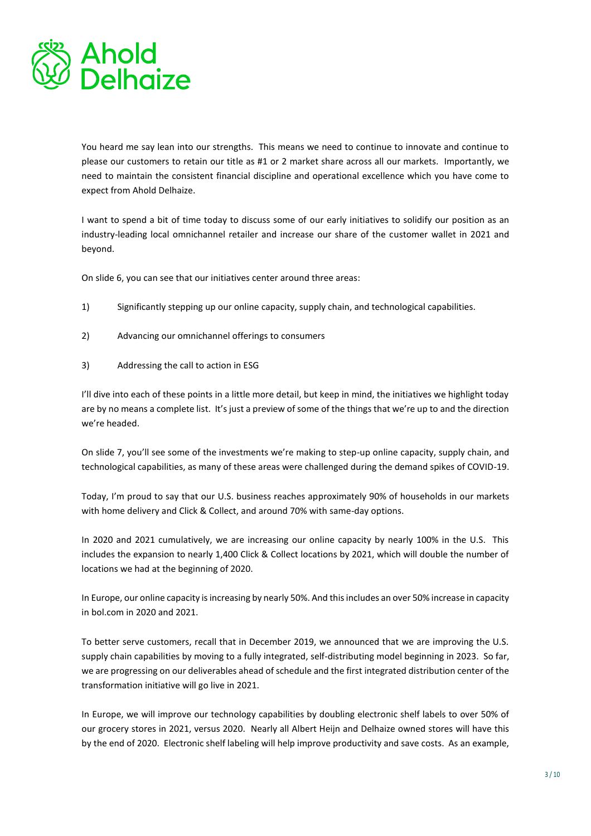

You heard me say lean into our strengths. This means we need to continue to innovate and continue to please our customers to retain our title as #1 or 2 market share across all our markets. Importantly, we need to maintain the consistent financial discipline and operational excellence which you have come to expect from Ahold Delhaize.

I want to spend a bit of time today to discuss some of our early initiatives to solidify our position as an industry-leading local omnichannel retailer and increase our share of the customer wallet in 2021 and beyond.

On slide 6, you can see that our initiatives center around three areas:

- 1) Significantly stepping up our online capacity, supply chain, and technological capabilities.
- 2) Advancing our omnichannel offerings to consumers
- 3) Addressing the call to action in ESG

I'll dive into each of these points in a little more detail, but keep in mind, the initiatives we highlight today are by no means a complete list. It's just a preview of some of the things that we're up to and the direction we're headed.

On slide 7, you'll see some of the investments we're making to step-up online capacity, supply chain, and technological capabilities, as many of these areas were challenged during the demand spikes of COVID-19.

Today, I'm proud to say that our U.S. business reaches approximately 90% of households in our markets with home delivery and Click & Collect, and around 70% with same-day options.

In 2020 and 2021 cumulatively, we are increasing our online capacity by nearly 100% in the U.S. This includes the expansion to nearly 1,400 Click & Collect locations by 2021, which will double the number of locations we had at the beginning of 2020.

In Europe, our online capacity is increasing by nearly 50%. And this includes an over 50% increase in capacity in bol.com in 2020 and 2021.

To better serve customers, recall that in December 2019, we announced that we are improving the U.S. supply chain capabilities by moving to a fully integrated, self-distributing model beginning in 2023. So far, we are progressing on our deliverables ahead of schedule and the first integrated distribution center of the transformation initiative will go live in 2021.

In Europe, we will improve our technology capabilities by doubling electronic shelf labels to over 50% of our grocery stores in 2021, versus 2020. Nearly all Albert Heijn and Delhaize owned stores will have this by the end of 2020. Electronic shelf labeling will help improve productivity and save costs. As an example,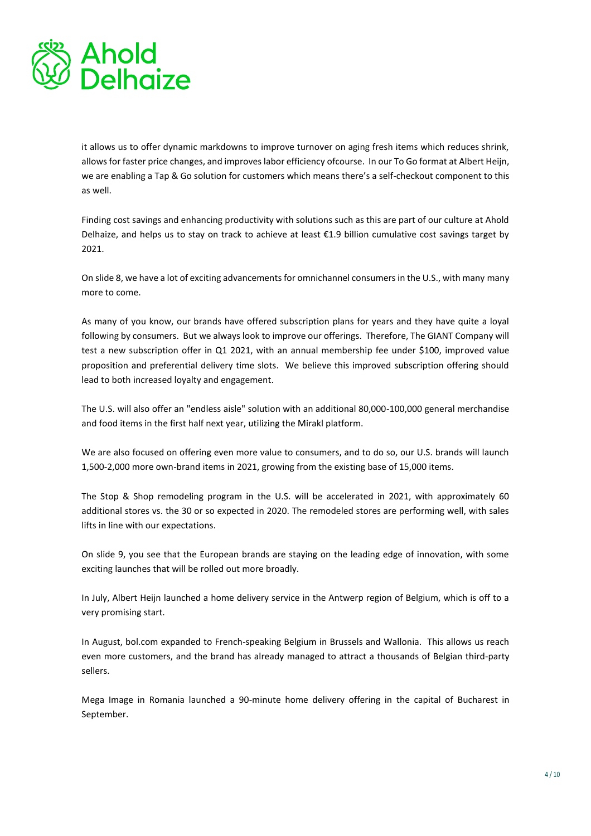

it allows us to offer dynamic markdowns to improve turnover on aging fresh items which reduces shrink, allows for faster price changes, and improves labor efficiency ofcourse. In our To Go format at Albert Heijn, we are enabling a Tap & Go solution for customers which means there's a self-checkout component to this as well.

Finding cost savings and enhancing productivity with solutions such as this are part of our culture at Ahold Delhaize, and helps us to stay on track to achieve at least  $\epsilon$ 1.9 billion cumulative cost savings target by 2021.

On slide 8, we have a lot of exciting advancements for omnichannel consumers in the U.S., with many many more to come.

As many of you know, our brands have offered subscription plans for years and they have quite a loyal following by consumers. But we always look to improve our offerings. Therefore, The GIANT Company will test a new subscription offer in Q1 2021, with an annual membership fee under \$100, improved value proposition and preferential delivery time slots. We believe this improved subscription offering should lead to both increased loyalty and engagement.

The U.S. will also offer an "endless aisle" solution with an additional 80,000-100,000 general merchandise and food items in the first half next year, utilizing the Mirakl platform.

We are also focused on offering even more value to consumers, and to do so, our U.S. brands will launch 1,500-2,000 more own-brand items in 2021, growing from the existing base of 15,000 items.

The Stop & Shop remodeling program in the U.S. will be accelerated in 2021, with approximately 60 additional stores vs. the 30 or so expected in 2020. The remodeled stores are performing well, with sales lifts in line with our expectations.

On slide 9, you see that the European brands are staying on the leading edge of innovation, with some exciting launches that will be rolled out more broadly.

In July, Albert Heijn launched a home delivery service in the Antwerp region of Belgium, which is off to a very promising start.

In August, bol.com expanded to French-speaking Belgium in Brussels and Wallonia. This allows us reach even more customers, and the brand has already managed to attract a thousands of Belgian third-party sellers.

Mega Image in Romania launched a 90-minute home delivery offering in the capital of Bucharest in September.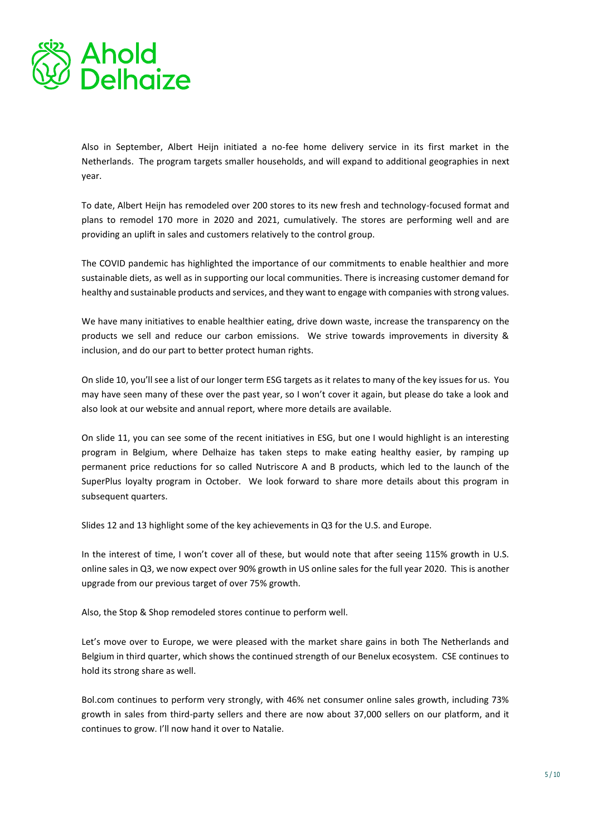

Also in September, Albert Heijn initiated a no-fee home delivery service in its first market in the Netherlands. The program targets smaller households, and will expand to additional geographies in next year.

To date, Albert Heijn has remodeled over 200 stores to its new fresh and technology-focused format and plans to remodel 170 more in 2020 and 2021, cumulatively. The stores are performing well and are providing an uplift in sales and customers relatively to the control group.

The COVID pandemic has highlighted the importance of our commitments to enable healthier and more sustainable diets, as well as in supporting our local communities. There is increasing customer demand for healthy and sustainable products and services, and they want to engage with companies with strong values.

We have many initiatives to enable healthier eating, drive down waste, increase the transparency on the products we sell and reduce our carbon emissions. We strive towards improvements in diversity & inclusion, and do our part to better protect human rights.

On slide 10, you'll see a list of our longer term ESG targets as it relates to many of the key issues for us. You may have seen many of these over the past year, so I won't cover it again, but please do take a look and also look at our website and annual report, where more details are available.

On slide 11, you can see some of the recent initiatives in ESG, but one I would highlight is an interesting program in Belgium, where Delhaize has taken steps to make eating healthy easier, by ramping up permanent price reductions for so called Nutriscore A and B products, which led to the launch of the SuperPlus loyalty program in October. We look forward to share more details about this program in subsequent quarters.

Slides 12 and 13 highlight some of the key achievements in Q3 for the U.S. and Europe.

In the interest of time, I won't cover all of these, but would note that after seeing 115% growth in U.S. online sales in Q3, we now expect over 90% growth in US online sales for the full year 2020. This is another upgrade from our previous target of over 75% growth.

Also, the Stop & Shop remodeled stores continue to perform well.

Let's move over to Europe, we were pleased with the market share gains in both The Netherlands and Belgium in third quarter, which shows the continued strength of our Benelux ecosystem. CSE continues to hold its strong share as well.

Bol.com continues to perform very strongly, with 46% net consumer online sales growth, including 73% growth in sales from third-party sellers and there are now about 37,000 sellers on our platform, and it continues to grow. I'll now hand it over to Natalie.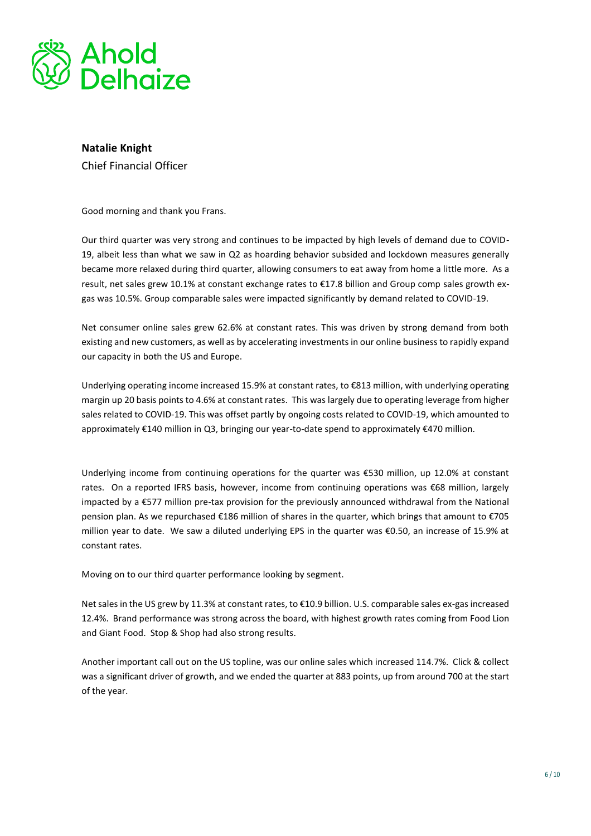

# **Natalie Knight**

Chief Financial Officer

Good morning and thank you Frans.

Our third quarter was very strong and continues to be impacted by high levels of demand due to COVID-19, albeit less than what we saw in Q2 as hoarding behavior subsided and lockdown measures generally became more relaxed during third quarter, allowing consumers to eat away from home a little more. As a result, net sales grew 10.1% at constant exchange rates to €17.8 billion and Group comp sales growth exgas was 10.5%. Group comparable sales were impacted significantly by demand related to COVID-19.

Net consumer online sales grew 62.6% at constant rates. This was driven by strong demand from both existing and new customers, as well as by accelerating investments in our online business to rapidly expand our capacity in both the US and Europe.

Underlying operating income increased 15.9% at constant rates, to €813 million, with underlying operating margin up 20 basis points to 4.6% at constant rates. This was largely due to operating leverage from higher sales related to COVID-19. This was offset partly by ongoing costs related to COVID-19, which amounted to approximately €140 million in Q3, bringing our year-to-date spend to approximately €470 million.

Underlying income from continuing operations for the quarter was €530 million, up 12.0% at constant rates. On a reported IFRS basis, however, income from continuing operations was €68 million, largely impacted by a €577 million pre-tax provision for the previously announced withdrawal from the National pension plan. As we repurchased €186 million of shares in the quarter, which brings that amount to €705 million year to date. We saw a diluted underlying EPS in the quarter was €0.50, an increase of 15.9% at constant rates.

Moving on to our third quarter performance looking by segment.

Net sales in the US grew by 11.3% at constant rates, to €10.9 billion. U.S. comparable sales ex-gas increased 12.4%. Brand performance was strong across the board, with highest growth rates coming from Food Lion and Giant Food. Stop & Shop had also strong results.

Another important call out on the US topline, was our online sales which increased 114.7%. Click & collect was a significant driver of growth, and we ended the quarter at 883 points, up from around 700 at the start of the year.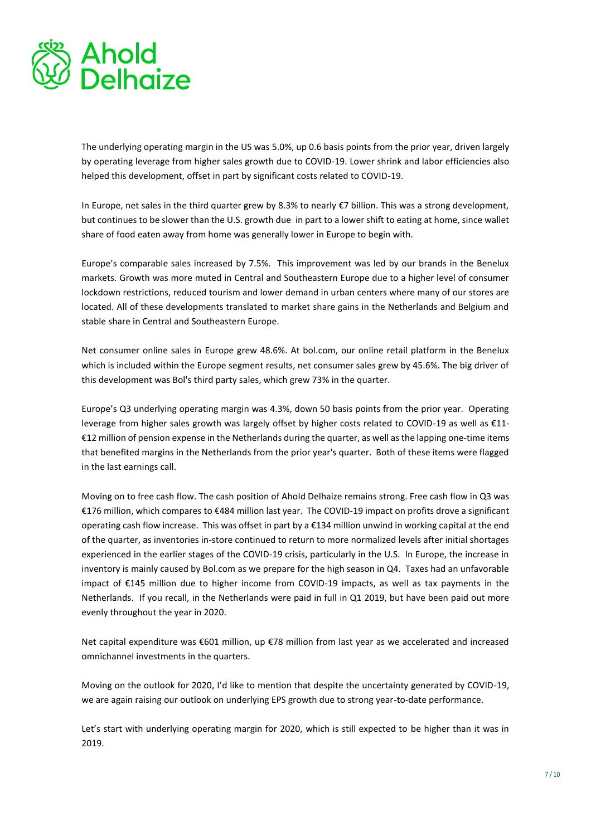

The underlying operating margin in the US was 5.0%, up 0.6 basis points from the prior year, driven largely by operating leverage from higher sales growth due to COVID-19. Lower shrink and labor efficiencies also helped this development, offset in part by significant costs related to COVID-19.

In Europe, net sales in the third quarter grew by 8.3% to nearly €7 billion. This was a strong development, but continues to be slower than the U.S. growth due in part to a lower shift to eating at home, since wallet share of food eaten away from home was generally lower in Europe to begin with.

Europe's comparable sales increased by 7.5%. This improvement was led by our brands in the Benelux markets. Growth was more muted in Central and Southeastern Europe due to a higher level of consumer lockdown restrictions, reduced tourism and lower demand in urban centers where many of our stores are located. All of these developments translated to market share gains in the Netherlands and Belgium and stable share in Central and Southeastern Europe.

Net consumer online sales in Europe grew 48.6%. At bol.com, our online retail platform in the Benelux which is included within the Europe segment results, net consumer sales grew by 45.6%. The big driver of this development was Bol's third party sales, which grew 73% in the quarter.

Europe's Q3 underlying operating margin was 4.3%, down 50 basis points from the prior year. Operating leverage from higher sales growth was largely offset by higher costs related to COVID-19 as well as €11- €12 million of pension expense in the Netherlands during the quarter, as well as the lapping one-time items that benefited margins in the Netherlands from the prior year's quarter. Both of these items were flagged in the last earnings call.

Moving on to free cash flow. The cash position of Ahold Delhaize remains strong. Free cash flow in Q3 was €176 million, which compares to €484 million last year. The COVID-19 impact on profits drove a significant operating cash flow increase. This was offset in part by a €134 million unwind in working capital at the end of the quarter, as inventories in-store continued to return to more normalized levels after initial shortages experienced in the earlier stages of the COVID-19 crisis, particularly in the U.S. In Europe, the increase in inventory is mainly caused by Bol.com as we prepare for the high season in Q4. Taxes had an unfavorable impact of €145 million due to higher income from COVID-19 impacts, as well as tax payments in the Netherlands. If you recall, in the Netherlands were paid in full in Q1 2019, but have been paid out more evenly throughout the year in 2020.

Net capital expenditure was €601 million, up €78 million from last year as we accelerated and increased omnichannel investments in the quarters.

Moving on the outlook for 2020, I'd like to mention that despite the uncertainty generated by COVID-19, we are again raising our outlook on underlying EPS growth due to strong year-to-date performance.

Let's start with underlying operating margin for 2020, which is still expected to be higher than it was in 2019.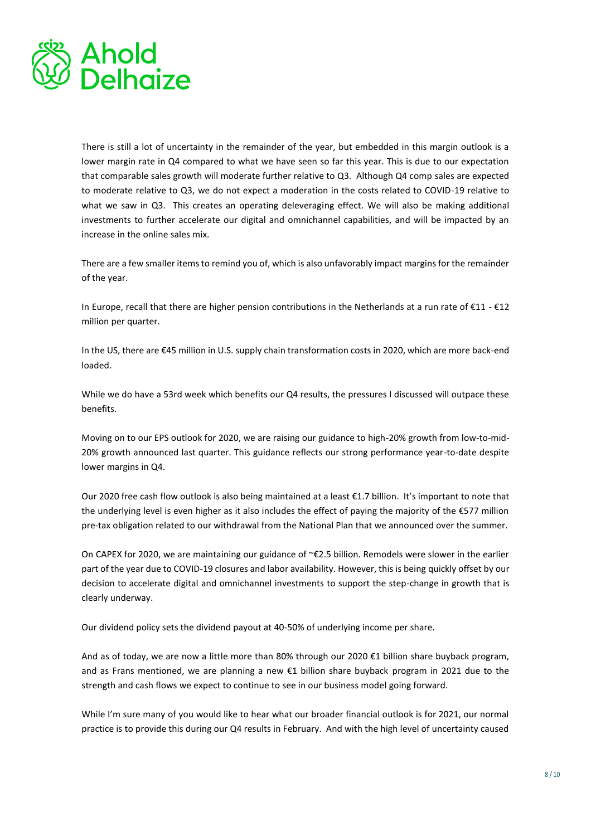

There is still a lot of uncertainty in the remainder of the year, but embedded in this margin outlook is a lower margin rate in Q4 compared to what we have seen so far this year. This is due to our expectation that comparable sales growth will moderate further relative to Q3. Although Q4 comp sales are expected to moderate relative to Q3, we do not expect a moderation in the costs related to COVID-19 relative to what we saw in Q3. This creates an operating deleveraging effect. We will also be making additional investments to further accelerate our digital and omnichannel capabilities, and will be impacted by an increase in the online sales mix.

There are a few smaller items to remind you of, which is also unfavorably impact margins for the remainder of the year.

In Europe, recall that there are higher pension contributions in the Netherlands at a run rate of €11 - €12 million per quarter.

In the US, there are €45 million in U.S. supply chain transformation costs in 2020, which are more back-end loaded.

While we do have a 53rd week which benefits our Q4 results, the pressures I discussed will outpace these benefits.

Moving on to our EPS outlook for 2020, we are raising our guidance to high-20% growth from low-to-mid-20% growth announced last quarter. This guidance reflects our strong performance year-to-date despite lower margins in Q4.

Our 2020 free cash flow outlook is also being maintained at a least €1.7 billion. It's important to note that the underlying level is even higher as it also includes the effect of paying the majority of the €577 million pre-tax obligation related to our withdrawal from the National Plan that we announced over the summer.

On CAPEX for 2020, we are maintaining our guidance of ~€2.5 billion. Remodels were slower in the earlier part of the year due to COVID-19 closures and labor availability. However, this is being quickly offset by our decision to accelerate digital and omnichannel investments to support the step-change in growth that is clearly underway.

Our dividend policy sets the dividend payout at 40-50% of underlying income per share.

And as of today, we are now a little more than 80% through our 2020 €1 billion share buyback program, and as Frans mentioned, we are planning a new €1 billion share buyback program in 2021 due to the strength and cash flows we expect to continue to see in our business model going forward.

While I'm sure many of you would like to hear what our broader financial outlook is for 2021, our normal practice is to provide this during our Q4 results in February. And with the high level of uncertainty caused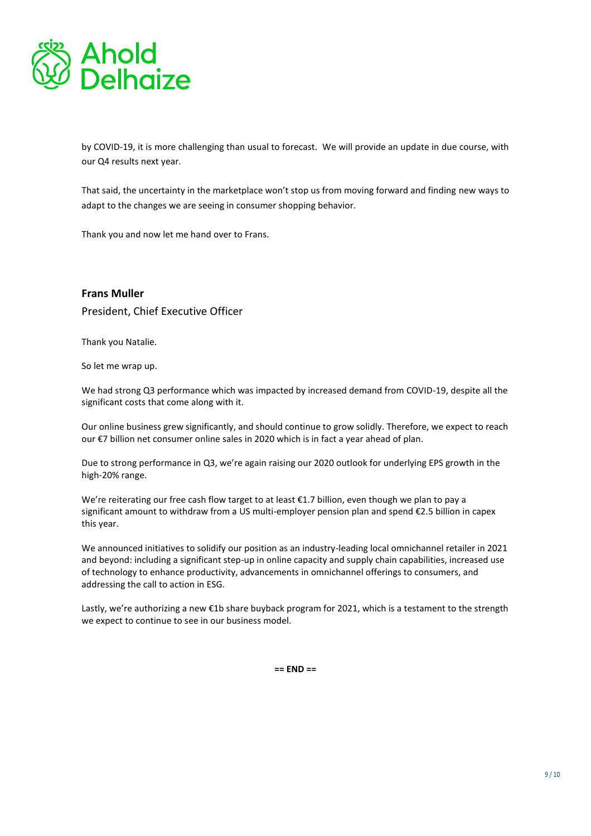

by COVID-19, it is more challenging than usual to forecast. We will provide an update in due course, with our Q4 results next year.

That said, the uncertainty in the marketplace won't stop us from moving forward and finding new ways to adapt to the changes we are seeing in consumer shopping behavior.

Thank you and now let me hand over to Frans.

### **Frans Muller**

President, Chief Executive Officer

Thank you Natalie.

So let me wrap up.

We had strong Q3 performance which was impacted by increased demand from COVID-19, despite all the significant costs that come along with it.

Our online business grew significantly, and should continue to grow solidly. Therefore, we expect to reach our €7 billion net consumer online sales in 2020 which is in fact a year ahead of plan.

Due to strong performance in Q3, we're again raising our 2020 outlook for underlying EPS growth in the high-20% range.

We're reiterating our free cash flow target to at least €1.7 billion, even though we plan to pay a significant amount to withdraw from a US multi-employer pension plan and spend €2.5 billion in capex this year.

We announced initiatives to solidify our position as an industry-leading local omnichannel retailer in 2021 and beyond: including a significant step-up in online capacity and supply chain capabilities, increased use of technology to enhance productivity, advancements in omnichannel offerings to consumers, and addressing the call to action in ESG.

Lastly, we're authorizing a new €1b share buyback program for 2021, which is a testament to the strength we expect to continue to see in our business model.

**== END ==**